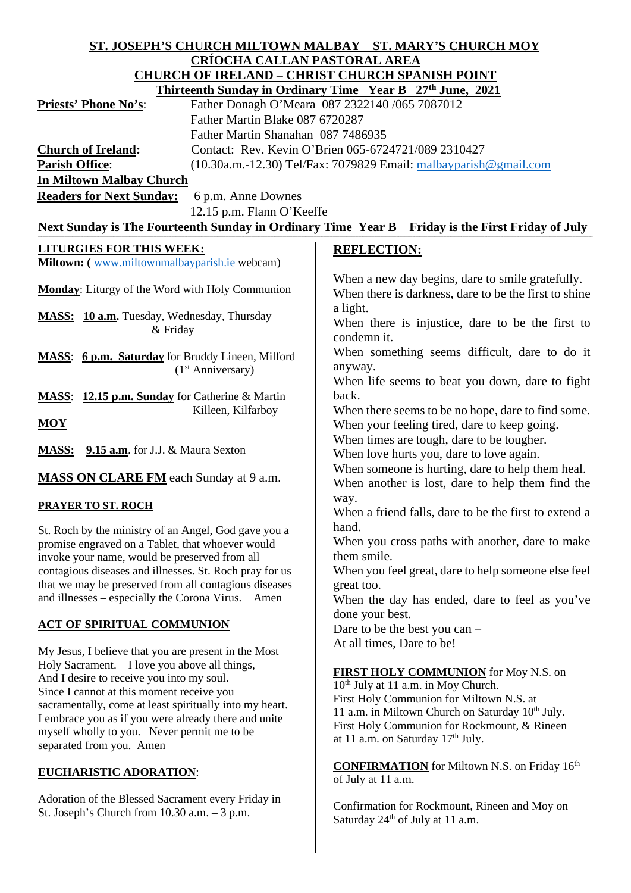| ST. JOSEPH'S CHURCH MILTOWN MALBAY ST. MARY'S CHURCH MOY                                                                     |                                                                                             |
|------------------------------------------------------------------------------------------------------------------------------|---------------------------------------------------------------------------------------------|
| <u>CRÍOCHA CALLAN PASTORAL AREA</u>                                                                                          |                                                                                             |
| <b>CHURCH OF IRELAND - CHRIST CHURCH SPANISH POINT</b>                                                                       |                                                                                             |
| Thirteenth Sunday in Ordinary Time Year B 27th June, 2021                                                                    |                                                                                             |
| Father Donagh O'Meara 087 2322140 /065 7087012<br><b>Priests' Phone No's:</b>                                                |                                                                                             |
| Father Martin Blake 087 6720287                                                                                              |                                                                                             |
| Father Martin Shanahan 087 7486935                                                                                           |                                                                                             |
| Contact: Rev. Kevin O'Brien 065-6724721/089 2310427<br><b>Church of Ireland:</b>                                             |                                                                                             |
| <b>Parish Office:</b><br>(10.30a.m.-12.30) Tel/Fax: 7079829 Email: malbayparish@gmail.com<br><b>In Miltown Malbay Church</b> |                                                                                             |
|                                                                                                                              |                                                                                             |
| <b>Readers for Next Sunday:</b><br>6 p.m. Anne Downes<br>12.15 p.m. Flann O'Keeffe                                           |                                                                                             |
| Next Sunday is The Fourteenth Sunday in Ordinary Time Year B Friday is the First Friday of July                              |                                                                                             |
|                                                                                                                              |                                                                                             |
| <b>LITURGIES FOR THIS WEEK:</b>                                                                                              | <b>REFLECTION:</b>                                                                          |
| Miltown: (www.miltownmalbayparish.ie webcam)                                                                                 |                                                                                             |
| <b>Monday:</b> Liturgy of the Word with Holy Communion                                                                       | When a new day begins, dare to smile gratefully.                                            |
|                                                                                                                              | When there is darkness, dare to be the first to shine                                       |
| MASS: 10 a.m. Tuesday, Wednesday, Thursday                                                                                   | a light.                                                                                    |
| & Friday                                                                                                                     | When there is injustice, dare to be the first to<br>condemn it.                             |
|                                                                                                                              | When something seems difficult, dare to do it                                               |
| MASS: 6 p.m. Saturday for Bruddy Lineen, Milford                                                                             | anyway.                                                                                     |
| (1 <sup>st</sup> Anniversary)                                                                                                | When life seems to beat you down, dare to fight                                             |
| MASS: 12.15 p.m. Sunday for Catherine & Martin                                                                               | back.                                                                                       |
| Killeen, Kilfarboy                                                                                                           | When there seems to be no hope, dare to find some.                                          |
| <b>MOY</b>                                                                                                                   | When your feeling tired, dare to keep going.                                                |
|                                                                                                                              | When times are tough, dare to be tougher.                                                   |
| MASS: 9.15 a.m. for J.J. & Maura Sexton                                                                                      | When love hurts you, dare to love again.                                                    |
|                                                                                                                              | When someone is hurting, dare to help them heal.                                            |
| <b>MASS ON CLARE FM</b> each Sunday at 9 a.m.                                                                                | When another is lost, dare to help them find the                                            |
| <b>PRAYER TO ST. ROCH</b>                                                                                                    | way.                                                                                        |
|                                                                                                                              | When a friend falls, dare to be the first to extend a                                       |
| St. Roch by the ministry of an Angel, God gave you a                                                                         | hand.                                                                                       |
| promise engraved on a Tablet, that whoever would                                                                             | When you cross paths with another, dare to make<br>them smile.                              |
| invoke your name, would be preserved from all<br>contagious diseases and illnesses. St. Roch pray for us                     | When you feel great, dare to help someone else feel                                         |
| that we may be preserved from all contagious diseases                                                                        | great too.                                                                                  |
| and illnesses – especially the Corona Virus. Amen                                                                            | When the day has ended, dare to feel as you've                                              |
|                                                                                                                              | done your best.                                                                             |
| <u>ACT OF SPIRITUAL COMMUNION</u>                                                                                            | Dare to be the best you can -                                                               |
| My Jesus, I believe that you are present in the Most                                                                         | At all times, Dare to be!                                                                   |
| Holy Sacrament. I love you above all things,                                                                                 |                                                                                             |
| And I desire to receive you into my soul.                                                                                    | <b>FIRST HOLY COMMUNION</b> for Moy N.S. on                                                 |
| Since I cannot at this moment receive you                                                                                    | 10 <sup>th</sup> July at 11 a.m. in Moy Church.<br>First Holy Communion for Miltown N.S. at |
| sacramentally, come at least spiritually into my heart.                                                                      | 11 a.m. in Miltown Church on Saturday 10th July.                                            |
| I embrace you as if you were already there and unite                                                                         | First Holy Communion for Rockmount, & Rineen                                                |
| myself wholly to you. Never permit me to be<br>separated from you. Amen                                                      | at 11 a.m. on Saturday 17th July.                                                           |
|                                                                                                                              |                                                                                             |
| <b>EUCHARISTIC ADORATION:</b>                                                                                                | <b>CONFIRMATION</b> for Miltown N.S. on Friday 16th                                         |
|                                                                                                                              | of July at 11 a.m.                                                                          |
| Adoration of the Blessed Sacrament every Friday in                                                                           | Confirmation for Rockmount, Rineen and Moy on                                               |
| St. Joseph's Church from $10.30$ a.m. $-3$ p.m.                                                                              | Saturday 24 <sup>th</sup> of July at 11 a.m.                                                |